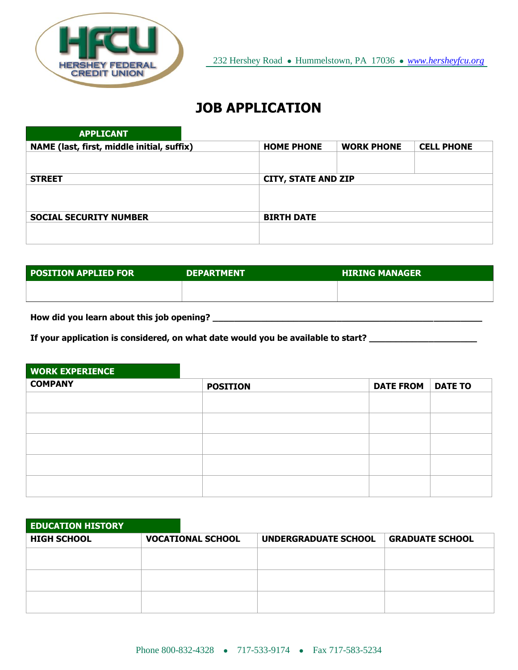

## **JOB APPLICATION**

| <b>APPLICANT</b>                           |                   |                            |                   |
|--------------------------------------------|-------------------|----------------------------|-------------------|
| NAME (last, first, middle initial, suffix) | <b>HOME PHONE</b> | <b>WORK PHONE</b>          | <b>CELL PHONE</b> |
|                                            |                   |                            |                   |
|                                            |                   |                            |                   |
| <b>STREET</b>                              |                   | <b>CITY, STATE AND ZIP</b> |                   |
|                                            |                   |                            |                   |
|                                            |                   |                            |                   |
| <b>SOCIAL SECURITY NUMBER</b>              | <b>BIRTH DATE</b> |                            |                   |
|                                            |                   |                            |                   |
|                                            |                   |                            |                   |

| <b>POSITION APPLIED FOR</b> | <b>DEPARTMENT</b> | <b>HIRING MANAGER</b> |
|-----------------------------|-------------------|-----------------------|
|                             |                   |                       |
|                             |                   |                       |

**How did you learn about this job opening? \_\_\_\_\_\_\_\_\_\_\_\_\_\_\_\_\_\_\_\_\_\_\_\_\_\_\_\_\_\_\_\_\_\_\_\_\_\_\_\_\_\_\_\_\_\_\_\_\_\_**

**If your application is considered, on what date would you be available to start? \_\_\_\_\_\_\_\_\_\_\_\_\_\_\_\_\_\_\_\_**

| <b>WORK EXPERIENCE</b> |                 |                  |                |
|------------------------|-----------------|------------------|----------------|
| <b>COMPANY</b>         | <b>POSITION</b> | <b>DATE FROM</b> | <b>DATE TO</b> |
|                        |                 |                  |                |
|                        |                 |                  |                |
|                        |                 |                  |                |
|                        |                 |                  |                |
|                        |                 |                  |                |
|                        |                 |                  |                |
|                        |                 |                  |                |
|                        |                 |                  |                |

| <b>GRADUATE SCHOOL</b> |
|------------------------|
|                        |
|                        |
|                        |
|                        |
|                        |
|                        |